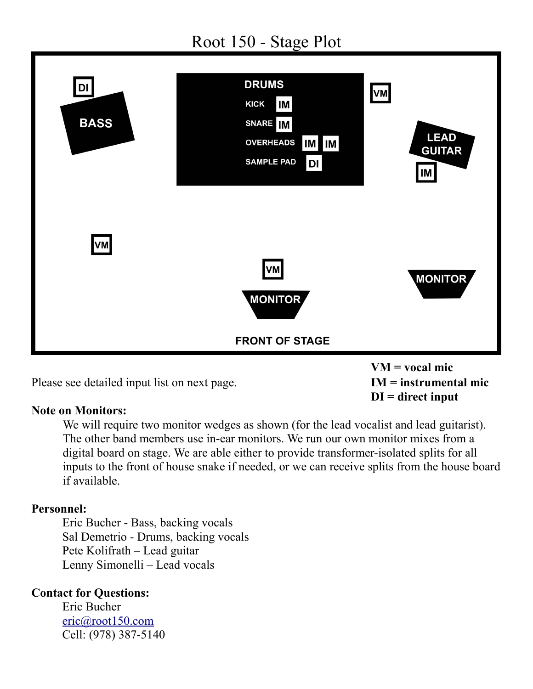

Please see detailed input list on next page. **IM = instrumental mic**

## **Note on Monitors:**

We will require two monitor wedges as shown (for the lead vocalist and lead guitarist). The other band members use in-ear monitors. We run our own monitor mixes from a digital board on stage. We are able either to provide transformer-isolated splits for all inputs to the front of house snake if needed, or we can receive splits from the house board if available.

**DI = direct input**

## **Personnel:**

Eric Bucher - Bass, backing vocals Sal Demetrio - Drums, backing vocals Pete Kolifrath – Lead guitar Lenny Simonelli – Lead vocals

## **Contact for Questions:**

Eric Bucher [eric@root150.com](mailto:eric@root150.com) Cell: (978) 387-5140